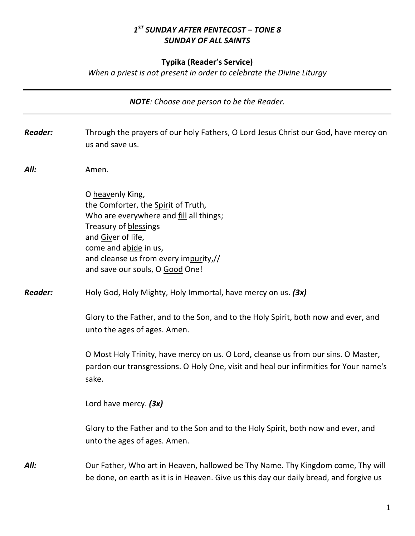# *1 ST SUNDAY AFTER PENTECOST – TONE 8 SUNDAY OF ALL SAINTS*

## **Typika (Reader's Service)**

*When a priest is not present in order to celebrate the Divine Liturgy*

| <b>NOTE:</b> Choose one person to be the Reader. |                                                                                                                                                                                                                                                        |  |
|--------------------------------------------------|--------------------------------------------------------------------------------------------------------------------------------------------------------------------------------------------------------------------------------------------------------|--|
| <b>Reader:</b>                                   | Through the prayers of our holy Fathers, O Lord Jesus Christ our God, have mercy on<br>us and save us.                                                                                                                                                 |  |
| All:                                             | Amen.                                                                                                                                                                                                                                                  |  |
|                                                  | O heavenly King,<br>the Comforter, the Spirit of Truth,<br>Who are everywhere and fill all things;<br>Treasury of blessings<br>and Giver of life,<br>come and abide in us,<br>and cleanse us from every impurity,//<br>and save our souls, O Good One! |  |
| <b>Reader:</b>                                   | Holy God, Holy Mighty, Holy Immortal, have mercy on us. (3x)                                                                                                                                                                                           |  |
|                                                  | Glory to the Father, and to the Son, and to the Holy Spirit, both now and ever, and<br>unto the ages of ages. Amen.                                                                                                                                    |  |
|                                                  | O Most Holy Trinity, have mercy on us. O Lord, cleanse us from our sins. O Master,<br>pardon our transgressions. O Holy One, visit and heal our infirmities for Your name's<br>sake.                                                                   |  |
|                                                  | Lord have mercy. (3x)                                                                                                                                                                                                                                  |  |
|                                                  | Glory to the Father and to the Son and to the Holy Spirit, both now and ever, and<br>unto the ages of ages. Amen.                                                                                                                                      |  |
| All:                                             | Our Father, Who art in Heaven, hallowed be Thy Name. Thy Kingdom come, Thy will<br>be done, on earth as it is in Heaven. Give us this day our daily bread, and forgive us                                                                              |  |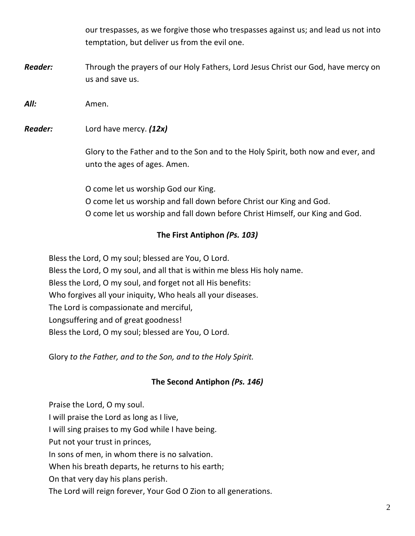our trespasses, as we forgive those who trespasses against us; and lead us not into temptation, but deliver us from the evil one.

*Reader:* Through the prayers of our Holy Fathers, Lord Jesus Christ our God, have mercy on us and save us.

*All:* Amen.

*Reader:* Lord have mercy. *(12x)*

Glory to the Father and to the Son and to the Holy Spirit, both now and ever, and unto the ages of ages. Amen.

O come let us worship God our King. O come let us worship and fall down before Christ our King and God. O come let us worship and fall down before Christ Himself, our King and God.

## **The First Antiphon** *(Ps. 103)*

Bless the Lord, O my soul; blessed are You, O Lord. Bless the Lord, O my soul, and all that is within me bless His holy name. Bless the Lord, O my soul, and forget not all His benefits: Who forgives all your iniquity, Who heals all your diseases. The Lord is compassionate and merciful, Longsuffering and of great goodness! Bless the Lord, O my soul; blessed are You, O Lord.

Glory *to the Father, and to the Son, and to the Holy Spirit.*

### **The Second Antiphon** *(Ps. 146)*

Praise the Lord, O my soul. I will praise the Lord as long as I live, I will sing praises to my God while I have being. Put not your trust in princes, In sons of men, in whom there is no salvation. When his breath departs, he returns to his earth; On that very day his plans perish. The Lord will reign forever, Your God O Zion to all generations.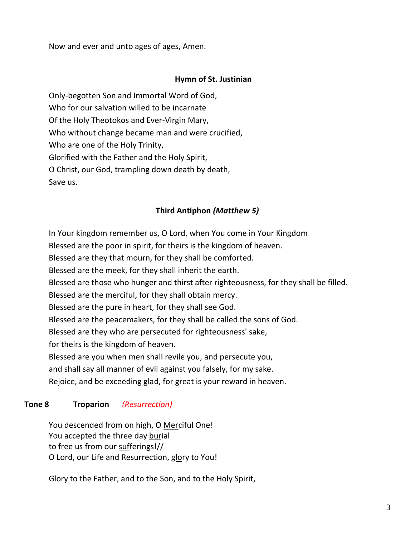Now and ever and unto ages of ages, Amen.

### **Hymn of St. Justinian**

Only-begotten Son and Immortal Word of God, Who for our salvation willed to be incarnate Of the Holy Theotokos and Ever-Virgin Mary, Who without change became man and were crucified, Who are one of the Holy Trinity, Glorified with the Father and the Holy Spirit, O Christ, our God, trampling down death by death, Save us.

### **Third Antiphon** *(Matthew 5)*

In Your kingdom remember us, O Lord, when You come in Your Kingdom Blessed are the poor in spirit, for theirs is the kingdom of heaven. Blessed are they that mourn, for they shall be comforted. Blessed are the meek, for they shall inherit the earth. Blessed are those who hunger and thirst after righteousness, for they shall be filled. Blessed are the merciful, for they shall obtain mercy. Blessed are the pure in heart, for they shall see God. Blessed are the peacemakers, for they shall be called the sons of God. Blessed are they who are persecuted for righteousness' sake, for theirs is the kingdom of heaven. Blessed are you when men shall revile you, and persecute you, and shall say all manner of evil against you falsely, for my sake. Rejoice, and be exceeding glad, for great is your reward in heaven.

### **Tone 8 Troparion** *(Resurrection)*

You descended from on high, O Merciful One! You accepted the three day burial to free us from our sufferings!// O Lord, our Life and Resurrection, glory to You!

Glory to the Father, and to the Son, and to the Holy Spirit,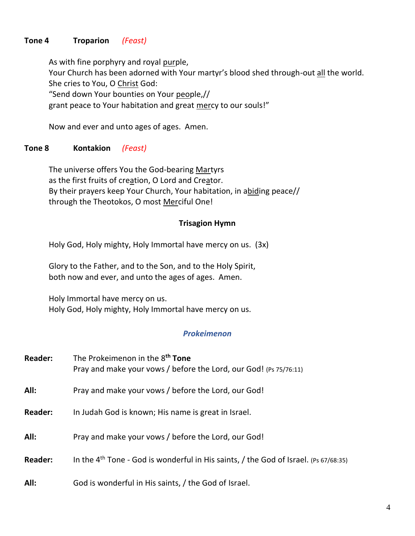## **Tone 4 Troparion** *(Feast)*

As with fine porphyry and royal purple, Your Church has been adorned with Your martyr's blood shed through-out all the world. She cries to You, O Christ God: "Send down Your bounties on Your people,// grant peace to Your habitation and great mercy to our souls!"

Now and ever and unto ages of ages. Amen.

### **Tone 8 Kontakion** *(Feast)*

The universe offers You the God-bearing Martyrs as the first fruits of creation, O Lord and Creator. By their prayers keep Your Church, Your habitation, in abiding peace// through the Theotokos, O most Merciful One!

#### **Trisagion Hymn**

Holy God, Holy mighty, Holy Immortal have mercy on us. (3x)

Glory to the Father, and to the Son, and to the Holy Spirit, both now and ever, and unto the ages of ages. Amen.

Holy Immortal have mercy on us. Holy God, Holy mighty, Holy Immortal have mercy on us.

### *Prokeimenon*

| <b>Reader:</b> | The Prokeimenon in the 8 <sup>th</sup> Tone<br>Pray and make your vows / before the Lord, our God! (Ps 75/76:11) |
|----------------|------------------------------------------------------------------------------------------------------------------|
| All:           | Pray and make your vows / before the Lord, our God!                                                              |
| <b>Reader:</b> | In Judah God is known; His name is great in Israel.                                                              |
| All:           | Pray and make your vows / before the Lord, our God!                                                              |
| <b>Reader:</b> | In the $4th$ Tone - God is wonderful in His saints, / the God of Israel. (Ps 67/68:35)                           |
| All:           | God is wonderful in His saints, / the God of Israel.                                                             |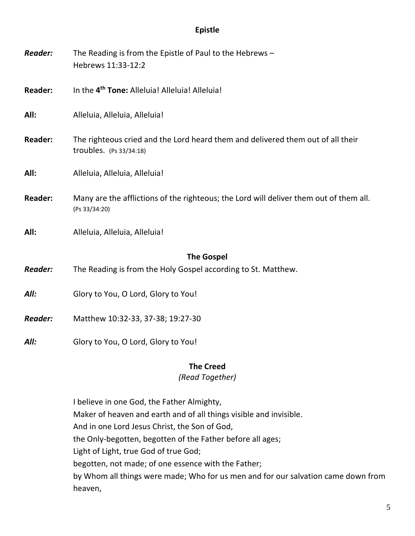### **Epistle**

| <b>Reader:</b> | The Reading is from the Epistle of Paul to the Hebrews -<br>Hebrews 11:33-12:2                               |
|----------------|--------------------------------------------------------------------------------------------------------------|
| <b>Reader:</b> | In the 4 <sup>th</sup> Tone: Alleluia! Alleluia! Alleluia!                                                   |
| All:           | Alleluia, Alleluia, Alleluia!                                                                                |
| <b>Reader:</b> | The righteous cried and the Lord heard them and delivered them out of all their<br>troubles. $(Ps 33/34:18)$ |
| All:           | Alleluia, Alleluia, Alleluia!                                                                                |
| <b>Reader:</b> | Many are the afflictions of the righteous; the Lord will deliver them out of them all.<br>(Ps 33/34:20)      |
| All:           | Alleluia, Alleluia, Alleluia!                                                                                |
|                | <b>The Gospel</b>                                                                                            |
| <b>Reader:</b> | The Reading is from the Holy Gospel according to St. Matthew.                                                |
| All:           | Glory to You, O Lord, Glory to You!                                                                          |
| <b>Reader:</b> | Matthew 10:32-33, 37-38; 19:27-30                                                                            |
| All:           | Glory to You, O Lord, Glory to You!                                                                          |

### **The Creed**

## *(Read Together)*

I believe in one God, the Father Almighty, Maker of heaven and earth and of all things visible and invisible. And in one Lord Jesus Christ, the Son of God, the Only-begotten, begotten of the Father before all ages; Light of Light, true God of true God; begotten, not made; of one essence with the Father; by Whom all things were made; Who for us men and for our salvation came down from heaven,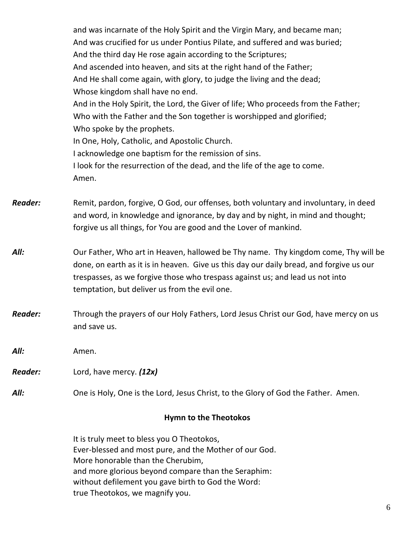| <b>Hymn to the Theotokos</b> |                                                                                                                                                                                                                                                                                                                                                                                                                                                                                                                                                                                                                                                                                                                                                                                                           |  |
|------------------------------|-----------------------------------------------------------------------------------------------------------------------------------------------------------------------------------------------------------------------------------------------------------------------------------------------------------------------------------------------------------------------------------------------------------------------------------------------------------------------------------------------------------------------------------------------------------------------------------------------------------------------------------------------------------------------------------------------------------------------------------------------------------------------------------------------------------|--|
| All:                         | One is Holy, One is the Lord, Jesus Christ, to the Glory of God the Father. Amen.                                                                                                                                                                                                                                                                                                                                                                                                                                                                                                                                                                                                                                                                                                                         |  |
| Reader:                      | Lord, have mercy. (12x)                                                                                                                                                                                                                                                                                                                                                                                                                                                                                                                                                                                                                                                                                                                                                                                   |  |
| All:                         | Amen.                                                                                                                                                                                                                                                                                                                                                                                                                                                                                                                                                                                                                                                                                                                                                                                                     |  |
| <b>Reader:</b>               | Through the prayers of our Holy Fathers, Lord Jesus Christ our God, have mercy on us<br>and save us.                                                                                                                                                                                                                                                                                                                                                                                                                                                                                                                                                                                                                                                                                                      |  |
| All:                         | Our Father, Who art in Heaven, hallowed be Thy name. Thy kingdom come, Thy will be<br>done, on earth as it is in heaven. Give us this day our daily bread, and forgive us our<br>trespasses, as we forgive those who trespass against us; and lead us not into<br>temptation, but deliver us from the evil one.                                                                                                                                                                                                                                                                                                                                                                                                                                                                                           |  |
| Reader:                      | Remit, pardon, forgive, O God, our offenses, both voluntary and involuntary, in deed<br>and word, in knowledge and ignorance, by day and by night, in mind and thought;<br>forgive us all things, for You are good and the Lover of mankind.                                                                                                                                                                                                                                                                                                                                                                                                                                                                                                                                                              |  |
|                              | and was incarnate of the Holy Spirit and the Virgin Mary, and became man;<br>And was crucified for us under Pontius Pilate, and suffered and was buried;<br>And the third day He rose again according to the Scriptures;<br>And ascended into heaven, and sits at the right hand of the Father;<br>And He shall come again, with glory, to judge the living and the dead;<br>Whose kingdom shall have no end.<br>And in the Holy Spirit, the Lord, the Giver of life; Who proceeds from the Father;<br>Who with the Father and the Son together is worshipped and glorified;<br>Who spoke by the prophets.<br>In One, Holy, Catholic, and Apostolic Church.<br>I acknowledge one baptism for the remission of sins.<br>I look for the resurrection of the dead, and the life of the age to come.<br>Amen. |  |

It is truly meet to bless you O Theotokos, Ever-blessed and most pure, and the Mother of our God. More honorable than the Cherubim, and more glorious beyond compare than the Seraphim: without defilement you gave birth to God the Word: true Theotokos, we magnify you.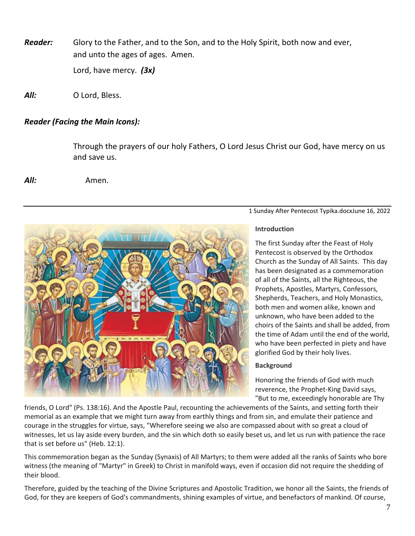*Reader:* Glory to the Father, and to the Son, and to the Holy Spirit, both now and ever, and unto the ages of ages. Amen. Lord, have mercy. *(3x)*

*All:* O Lord, Bless.

### *Reader (Facing the Main Icons):*

Through the prayers of our holy Fathers, O Lord Jesus Christ our God, have mercy on us and save us.

*All:* Amen.



#### 1 Sunday After Pentecost Typika.docxJune 16, 2022

#### **Introduction**

The first Sunday after the Feast of Holy Pentecost is observed by the Orthodox Church as the Sunday of All Saints. This day has been designated as a commemoration of all of the Saints, all the Righteous, the Prophets, Apostles, Martyrs, Confessors, Shepherds, Teachers, and Holy Monastics, both men and women alike, known and unknown, who have been added to the choirs of the Saints and shall be added, from the time of Adam until the end of the world, who have been perfected in piety and have glorified God by their holy lives.

#### **Background**

Honoring the friends of God with much reverence, the Prophet-King David says, "But to me, exceedingly honorable are Thy

friends, O Lord" (Ps. 138:16). And the Apostle Paul, recounting the achievements of the Saints, and setting forth their memorial as an example that we might turn away from earthly things and from sin, and emulate their patience and courage in the struggles for virtue, says, "Wherefore seeing we also are compassed about with so great a cloud of witnesses, let us lay aside every burden, and the sin which doth so easily beset us, and let us run with patience the race that is set before us" (Heb. 12:1).

This commemoration began as the Sunday (Synaxis) of All Martyrs; to them were added all the ranks of Saints who bore witness (the meaning of "Martyr" in Greek) to Christ in manifold ways, even if occasion did not require the shedding of their blood.

Therefore, guided by the teaching of the Divine Scriptures and Apostolic Tradition, we honor all the Saints, the friends of God, for they are keepers of God's commandments, shining examples of virtue, and benefactors of mankind. Of course,